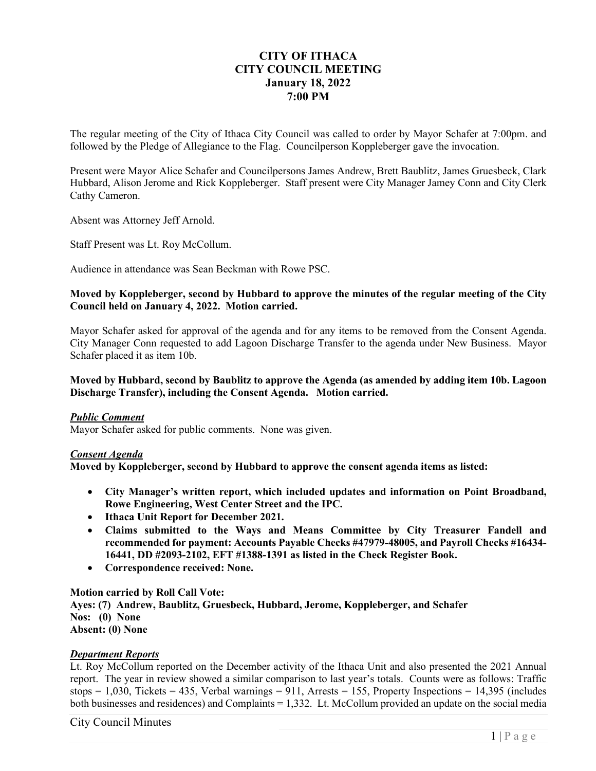# **CITY OF ITHACA CITY COUNCIL MEETING January 18, 2022 7:00 PM**

The regular meeting of the City of Ithaca City Council was called to order by Mayor Schafer at 7:00pm. and followed by the Pledge of Allegiance to the Flag. Councilperson Koppleberger gave the invocation.

Present were Mayor Alice Schafer and Councilpersons James Andrew, Brett Baublitz, James Gruesbeck, Clark Hubbard, Alison Jerome and Rick Koppleberger. Staff present were City Manager Jamey Conn and City Clerk Cathy Cameron.

Absent was Attorney Jeff Arnold.

Staff Present was Lt. Roy McCollum.

Audience in attendance was Sean Beckman with Rowe PSC.

## **Moved by Koppleberger, second by Hubbard to approve the minutes of the regular meeting of the City Council held on January 4, 2022. Motion carried.**

Mayor Schafer asked for approval of the agenda and for any items to be removed from the Consent Agenda. City Manager Conn requested to add Lagoon Discharge Transfer to the agenda under New Business. Mayor Schafer placed it as item 10b.

## **Moved by Hubbard, second by Baublitz to approve the Agenda (as amended by adding item 10b. Lagoon Discharge Transfer), including the Consent Agenda. Motion carried.**

## *Public Comment*

Mayor Schafer asked for public comments. None was given.

### *Consent Agenda*

**Moved by Koppleberger, second by Hubbard to approve the consent agenda items as listed:** 

- **City Manager's written report, which included updates and information on Point Broadband, Rowe Engineering, West Center Street and the IPC.**
- **Ithaca Unit Report for December 2021.**
- **Claims submitted to the Ways and Means Committee by City Treasurer Fandell and recommended for payment: Accounts Payable Checks #47979-48005, and Payroll Checks #16434- 16441, DD #2093-2102, EFT #1388-1391 as listed in the Check Register Book.**
- **Correspondence received: None.**

**Motion carried by Roll Call Vote: Ayes: (7) Andrew, Baublitz, Gruesbeck, Hubbard, Jerome, Koppleberger, and Schafer Nos: (0) None Absent: (0) None** 

### *Department Reports*

Lt. Roy McCollum reported on the December activity of the Ithaca Unit and also presented the 2021 Annual report. The year in review showed a similar comparison to last year's totals. Counts were as follows: Traffic stops = 1,030, Tickets = 435, Verbal warnings =  $911$ , Arrests = 155, Property Inspections = 14,395 (includes both businesses and residences) and Complaints = 1,332. Lt. McCollum provided an update on the social media

City Council Minutes